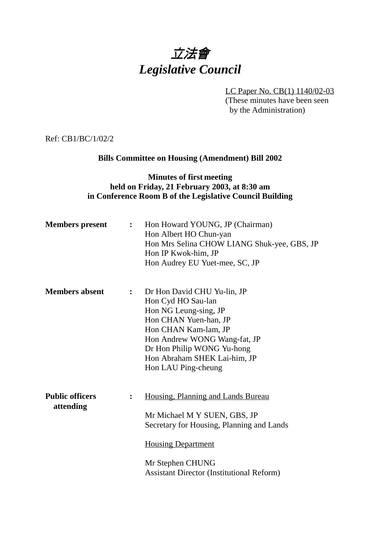# 立法會 *Legislative Council*

LC Paper No. CB(1) 1140/02-03 (These minutes have been seen by the Administration)

Ref: CB1/BC/1/02/2

## **Bills Committee on Housing (Amendment) Bill 2002**

### **Minutes of first meeting held on Friday, 21 February 2003, at 8:30 am in Conference Room B of the Legislative Council Building**

| <b>Members</b> present              | $\mathbf{L}$ | Hon Howard YOUNG, JP (Chairman)<br>Hon Albert HO Chun-yan<br>Hon Mrs Selina CHOW LIANG Shuk-yee, GBS, JP<br>Hon IP Kwok-him, JP<br>Hon Audrey EU Yuet-mee, SC, JP                                                                                |
|-------------------------------------|--------------|--------------------------------------------------------------------------------------------------------------------------------------------------------------------------------------------------------------------------------------------------|
| <b>Members absent</b>               | $\mathbf{L}$ | Dr Hon David CHU Yu-lin, JP<br>Hon Cyd HO Sau-lan<br>Hon NG Leung-sing, JP<br>Hon CHAN Yuen-han, JP<br>Hon CHAN Kam-lam, JP<br>Hon Andrew WONG Wang-fat, JP<br>Dr Hon Philip WONG Yu-hong<br>Hon Abraham SHEK Lai-him, JP<br>Hon LAU Ping-cheung |
| <b>Public officers</b><br>attending |              | Housing, Planning and Lands Bureau<br>Mr Michael M Y SUEN, GBS, JP<br>Secretary for Housing, Planning and Lands<br><b>Housing Department</b><br>Mr Stephen CHUNG<br><b>Assistant Director (Institutional Reform)</b>                             |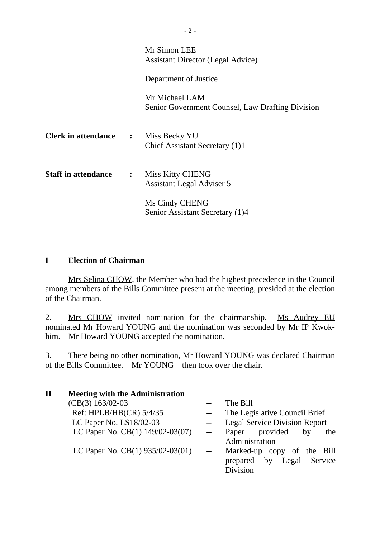|                                            |                | Mr Simon LEE<br><b>Assistant Director (Legal Advice)</b>           |  |
|--------------------------------------------|----------------|--------------------------------------------------------------------|--|
|                                            |                | Department of Justice                                              |  |
|                                            |                | Mr Michael LAM<br>Senior Government Counsel, Law Drafting Division |  |
| <b>Clerk in attendance : Miss Becky YU</b> |                | Chief Assistant Secretary (1)1                                     |  |
| <b>Staff in attendance</b>                 | $\ddot{\cdot}$ | Miss Kitty CHENG<br>Assistant Legal Adviser 5<br>Ms Cindy CHENG    |  |
|                                            |                | Senior Assistant Secretary (1)4                                    |  |

### **I Election of Chairman**

ı

Mrs Selina CHOW, the Member who had the highest precedence in the Council among members of the Bills Committee present at the meeting, presided at the election of the Chairman.

2. Mrs CHOW invited nomination for the chairmanship. Ms Audrey EU nominated Mr Howard YOUNG and the nomination was seconded by Mr IP Kwokhim. Mr Howard YOUNG accepted the nomination.

3. There being no other nomination, Mr Howard YOUNG was declared Chairman of the Bills Committee. Mr YOUNG then took over the chair.

| $\mathbf H$ | <b>Meeting with the Administration</b> |                          |                                      |
|-------------|----------------------------------------|--------------------------|--------------------------------------|
|             | $(CB(3) 163/02-03)$                    |                          | The Bill                             |
|             | Ref: HPLB/HB(CR) 5/4/35                |                          | The Legislative Council Brief        |
|             | LC Paper No. LS18/02-03                |                          | <b>Legal Service Division Report</b> |
|             | LC Paper No. CB(1) 149/02-03(07)       | $\overline{\phantom{a}}$ | provided<br>Paper<br>by<br>the       |
|             |                                        |                          | Administration                       |
|             | LC Paper No. CB(1) 935/02-03(01)       | $\sim$ $\sim$            | Marked-up copy of the Bill           |
|             |                                        |                          | Legal Service<br>prepared by         |
|             |                                        |                          | <b>Division</b>                      |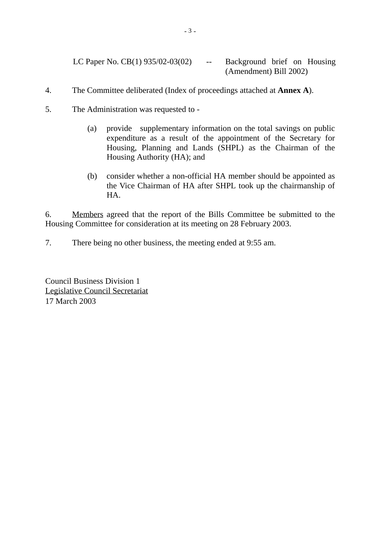LC Paper No.  $CB(1)$  935/02-03(02) -- Background brief on Housing (Amendment) Bill 2002)

- 4. The Committee deliberated (Index of proceedings attached at **Annex A**).
- 5. The Administration was requested to
	- (a) provide supplementary information on the total savings on public expenditure as a result of the appointment of the Secretary for Housing, Planning and Lands (SHPL) as the Chairman of the Housing Authority (HA); and
	- (b) consider whether a non-official HA member should be appointed as the Vice Chairman of HA after SHPL took up the chairmanship of HA.

6. Members agreed that the report of the Bills Committee be submitted to the Housing Committee for consideration at its meeting on 28 February 2003.

7. There being no other business, the meeting ended at 9:55 am.

Council Business Division 1 Legislative Council Secretariat 17 March 2003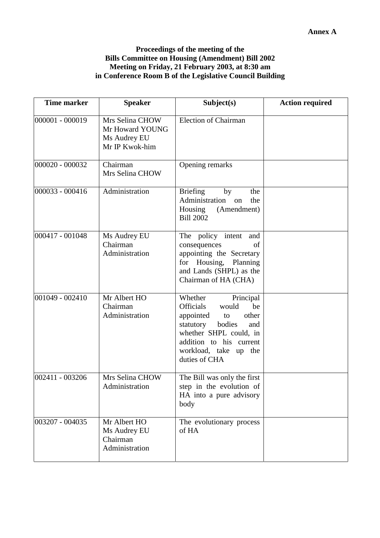#### **Proceedings of the meeting of the Bills Committee on Housing (Amendment) Bill 2002 Meeting on Friday, 21 February 2003, at 8:30 am in Conference Room B of the Legislative Council Building**

| <b>Time marker</b> | <b>Speaker</b>                                                       | Subject(s)                                                                                                                                                                                                          | <b>Action required</b> |
|--------------------|----------------------------------------------------------------------|---------------------------------------------------------------------------------------------------------------------------------------------------------------------------------------------------------------------|------------------------|
| 000001 - 000019    | Mrs Selina CHOW<br>Mr Howard YOUNG<br>Ms Audrey EU<br>Mr IP Kwok-him | <b>Election of Chairman</b>                                                                                                                                                                                         |                        |
| 000020 - 000032    | Chairman<br>Mrs Selina CHOW                                          | Opening remarks                                                                                                                                                                                                     |                        |
| 000033 - 000416    | Administration                                                       | <b>Briefing</b><br>by<br>the<br>Administration<br>the<br>on<br>(Amendment)<br>Housing<br><b>Bill 2002</b>                                                                                                           |                        |
| 000417 - 001048    | Ms Audrey EU<br>Chairman<br>Administration                           | The policy intent<br>and<br>consequences<br>of<br>appointing the Secretary<br>Housing, Planning<br>for<br>and Lands (SHPL) as the<br>Chairman of HA (CHA)                                                           |                        |
| $001049 - 002410$  | Mr Albert HO<br>Chairman<br>Administration                           | Whether<br>Principal<br><b>Officials</b><br>be<br>would<br>other<br>appointed<br>to<br>bodies<br>statutory<br>and<br>whether SHPL could, in<br>addition to his current<br>workload, take<br>up the<br>duties of CHA |                        |
| 002411 - 003206    | Mrs Selina CHOW<br>Administration                                    | The Bill was only the first<br>step in the evolution of<br>HA into a pure advisory<br>body                                                                                                                          |                        |
| 003207 - 004035    | Mr Albert HO<br>Ms Audrey EU<br>Chairman<br>Administration           | The evolutionary process<br>of HA                                                                                                                                                                                   |                        |